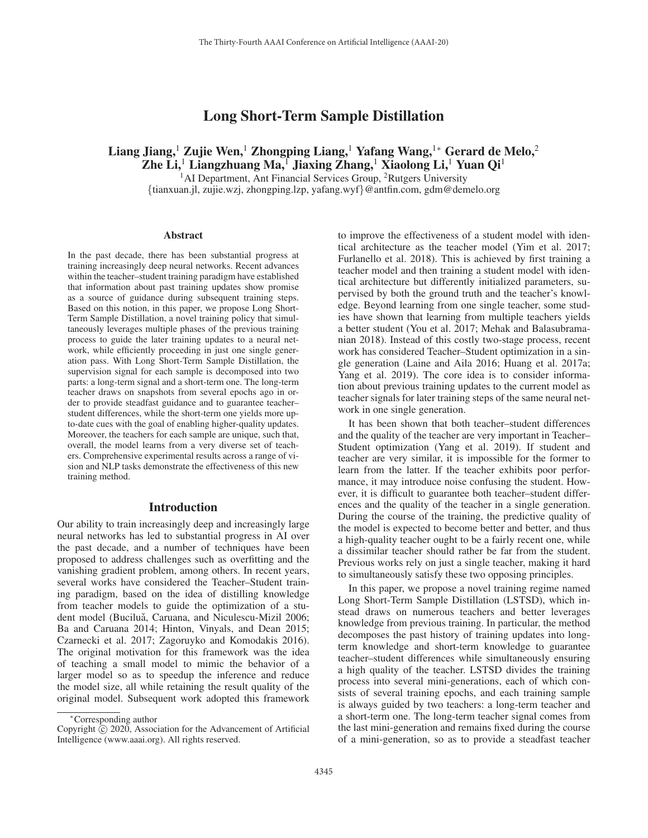# Long Short-Term Sample Distillation

# Liang Jiang,<sup>1</sup> Zujie Wen,<sup>1</sup> Zhongping Liang,<sup>1</sup> Yafang Wang,<sup>1</sup>\* Gerard de Melo,<sup>2</sup> Zhe Li,<sup>1</sup> Liangzhuang Ma,<sup>1</sup> Jiaxing Zhang,<sup>1</sup> Xiaolong Li,<sup>1</sup> Yuan Qi<sup>1</sup>

 $<sup>1</sup>$ AI Department, Ant Financial Services Group, <sup>2</sup>Rutgers University</sup> {tianxuan.jl, zujie.wzj, zhongping.lzp, yafang.wyf}@antfin.com, gdm@demelo.org

#### Abstract

In the past decade, there has been substantial progress at training increasingly deep neural networks. Recent advances within the teacher–student training paradigm have established that information about past training updates show promise as a source of guidance during subsequent training steps. Based on this notion, in this paper, we propose Long Short-Term Sample Distillation, a novel training policy that simultaneously leverages multiple phases of the previous training process to guide the later training updates to a neural network, while efficiently proceeding in just one single generation pass. With Long Short-Term Sample Distillation, the supervision signal for each sample is decomposed into two parts: a long-term signal and a short-term one. The long-term teacher draws on snapshots from several epochs ago in order to provide steadfast guidance and to guarantee teacher– student differences, while the short-term one yields more upto-date cues with the goal of enabling higher-quality updates. Moreover, the teachers for each sample are unique, such that, overall, the model learns from a very diverse set of teachers. Comprehensive experimental results across a range of vision and NLP tasks demonstrate the effectiveness of this new training method.

#### Introduction

Our ability to train increasingly deep and increasingly large neural networks has led to substantial progress in AI over the past decade, and a number of techniques have been proposed to address challenges such as overfitting and the vanishing gradient problem, among others. In recent years, several works have considered the Teacher–Student training paradigm, based on the idea of distilling knowledge from teacher models to guide the optimization of a student model (Buciluǎ, Caruana, and Niculescu-Mizil 2006; Ba and Caruana 2014; Hinton, Vinyals, and Dean 2015; Czarnecki et al. 2017; Zagoruyko and Komodakis 2016). The original motivation for this framework was the idea of teaching a small model to mimic the behavior of a larger model so as to speedup the inference and reduce the model size, all while retaining the result quality of the original model. Subsequent work adopted this framework to improve the effectiveness of a student model with identical architecture as the teacher model (Yim et al. 2017; Furlanello et al. 2018). This is achieved by first training a teacher model and then training a student model with identical architecture but differently initialized parameters, supervised by both the ground truth and the teacher's knowledge. Beyond learning from one single teacher, some studies have shown that learning from multiple teachers yields a better student (You et al. 2017; Mehak and Balasubramanian 2018). Instead of this costly two-stage process, recent work has considered Teacher–Student optimization in a single generation (Laine and Aila 2016; Huang et al. 2017a; Yang et al. 2019). The core idea is to consider information about previous training updates to the current model as teacher signals for later training steps of the same neural network in one single generation.

It has been shown that both teacher–student differences and the quality of the teacher are very important in Teacher– Student optimization (Yang et al. 2019). If student and teacher are very similar, it is impossible for the former to learn from the latter. If the teacher exhibits poor performance, it may introduce noise confusing the student. However, it is difficult to guarantee both teacher–student differences and the quality of the teacher in a single generation. During the course of the training, the predictive quality of the model is expected to become better and better, and thus a high-quality teacher ought to be a fairly recent one, while a dissimilar teacher should rather be far from the student. Previous works rely on just a single teacher, making it hard to simultaneously satisfy these two opposing principles.

In this paper, we propose a novel training regime named Long Short-Term Sample Distillation (LSTSD), which instead draws on numerous teachers and better leverages knowledge from previous training. In particular, the method decomposes the past history of training updates into longterm knowledge and short-term knowledge to guarantee teacher–student differences while simultaneously ensuring a high quality of the teacher. LSTSD divides the training process into several mini-generations, each of which consists of several training epochs, and each training sample is always guided by two teachers: a long-term teacher and a short-term one. The long-term teacher signal comes from the last mini-generation and remains fixed during the course of a mini-generation, so as to provide a steadfast teacher

<sup>∗</sup>Corresponding author

Copyright  $\odot$  2020, Association for the Advancement of Artificial Intelligence (www.aaai.org). All rights reserved.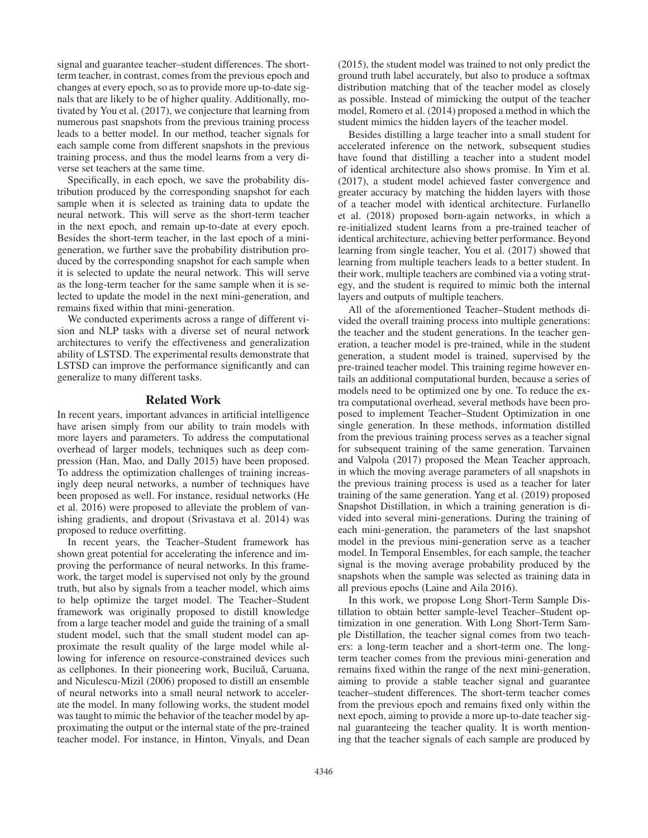signal and guarantee teacher–student differences. The shortterm teacher, in contrast, comes from the previous epoch and changes at every epoch, so as to provide more up-to-date signals that are likely to be of higher quality. Additionally, motivated by You et al. (2017), we conjecture that learning from numerous past snapshots from the previous training process leads to a better model. In our method, teacher signals for each sample come from different snapshots in the previous training process, and thus the model learns from a very diverse set teachers at the same time.

Specifically, in each epoch, we save the probability distribution produced by the corresponding snapshot for each sample when it is selected as training data to update the neural network. This will serve as the short-term teacher in the next epoch, and remain up-to-date at every epoch. Besides the short-term teacher, in the last epoch of a minigeneration, we further save the probability distribution produced by the corresponding snapshot for each sample when it is selected to update the neural network. This will serve as the long-term teacher for the same sample when it is selected to update the model in the next mini-generation, and remains fixed within that mini-generation.

We conducted experiments across a range of different vision and NLP tasks with a diverse set of neural network architectures to verify the effectiveness and generalization ability of LSTSD. The experimental results demonstrate that LSTSD can improve the performance significantly and can generalize to many different tasks.

### Related Work

In recent years, important advances in artificial intelligence have arisen simply from our ability to train models with more layers and parameters. To address the computational overhead of larger models, techniques such as deep compression (Han, Mao, and Dally 2015) have been proposed. To address the optimization challenges of training increasingly deep neural networks, a number of techniques have been proposed as well. For instance, residual networks (He et al. 2016) were proposed to alleviate the problem of vanishing gradients, and dropout (Srivastava et al. 2014) was proposed to reduce overfitting.

In recent years, the Teacher–Student framework has shown great potential for accelerating the inference and improving the performance of neural networks. In this framework, the target model is supervised not only by the ground truth, but also by signals from a teacher model, which aims to help optimize the target model. The Teacher–Student framework was originally proposed to distill knowledge from a large teacher model and guide the training of a small student model, such that the small student model can approximate the result quality of the large model while allowing for inference on resource-constrained devices such as cellphones. In their pioneering work, Buciluǎ, Caruana, and Niculescu-Mizil (2006) proposed to distill an ensemble of neural networks into a small neural network to accelerate the model. In many following works, the student model was taught to mimic the behavior of the teacher model by approximating the output or the internal state of the pre-trained teacher model. For instance, in Hinton, Vinyals, and Dean

(2015), the student model was trained to not only predict the ground truth label accurately, but also to produce a softmax distribution matching that of the teacher model as closely as possible. Instead of mimicking the output of the teacher model, Romero et al. (2014) proposed a method in which the student mimics the hidden layers of the teacher model.

Besides distilling a large teacher into a small student for accelerated inference on the network, subsequent studies have found that distilling a teacher into a student model of identical architecture also shows promise. In Yim et al. (2017), a student model achieved faster convergence and greater accuracy by matching the hidden layers with those of a teacher model with identical architecture. Furlanello et al. (2018) proposed born-again networks, in which a re-initialized student learns from a pre-trained teacher of identical architecture, achieving better performance. Beyond learning from single teacher, You et al. (2017) showed that learning from multiple teachers leads to a better student. In their work, multiple teachers are combined via a voting strategy, and the student is required to mimic both the internal layers and outputs of multiple teachers.

All of the aforementioned Teacher–Student methods divided the overall training process into multiple generations: the teacher and the student generations. In the teacher generation, a teacher model is pre-trained, while in the student generation, a student model is trained, supervised by the pre-trained teacher model. This training regime however entails an additional computational burden, because a series of models need to be optimized one by one. To reduce the extra computational overhead, several methods have been proposed to implement Teacher–Student Optimization in one single generation. In these methods, information distilled from the previous training process serves as a teacher signal for subsequent training of the same generation. Tarvainen and Valpola (2017) proposed the Mean Teacher approach, in which the moving average parameters of all snapshots in the previous training process is used as a teacher for later training of the same generation. Yang et al. (2019) proposed Snapshot Distillation, in which a training generation is divided into several mini-generations. During the training of each mini-generation, the parameters of the last snapshot model in the previous mini-generation serve as a teacher model. In Temporal Ensembles, for each sample, the teacher signal is the moving average probability produced by the snapshots when the sample was selected as training data in all previous epochs (Laine and Aila 2016).

In this work, we propose Long Short-Term Sample Distillation to obtain better sample-level Teacher–Student optimization in one generation. With Long Short-Term Sample Distillation, the teacher signal comes from two teachers: a long-term teacher and a short-term one. The longterm teacher comes from the previous mini-generation and remains fixed within the range of the next mini-generation, aiming to provide a stable teacher signal and guarantee teacher–student differences. The short-term teacher comes from the previous epoch and remains fixed only within the next epoch, aiming to provide a more up-to-date teacher signal guaranteeing the teacher quality. It is worth mentioning that the teacher signals of each sample are produced by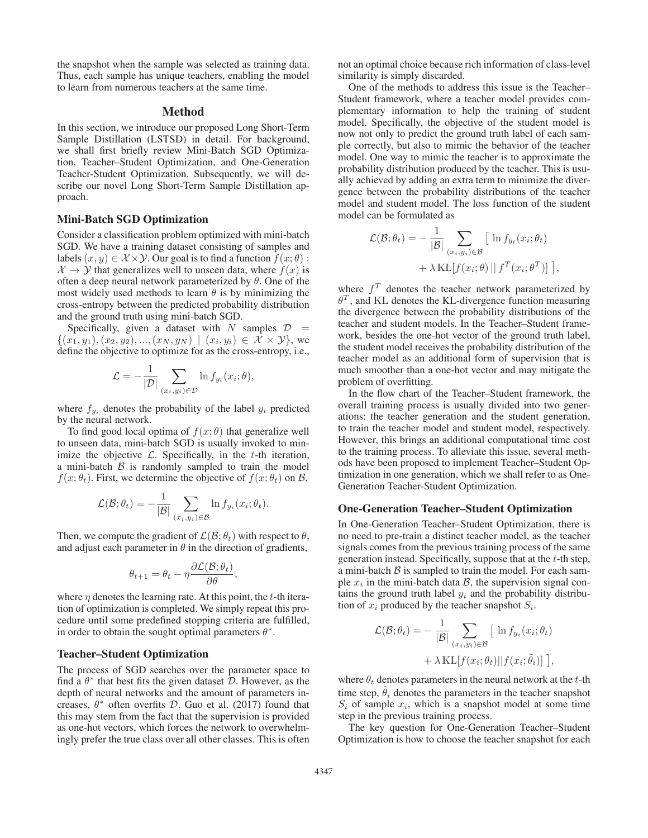the snapshot when the sample was selected as training data. Thus, each sample has unique teachers, enabling the model to learn from numerous teachers at the same time.

## Method

In this section, we introduce our proposed Long Short-Term Sample Distillation (LSTSD) in detail. For background, we shall first briefly review Mini-Batch SGD Optimization, Teacher–Student Optimization, and One-Generation Teacher-Student Optimization. Subsequently, we will describe our novel Long Short-Term Sample Distillation approach.

#### Mini-Batch SGD Optimization

Consider a classification problem optimized with mini-batch SGD. We have a training dataset consisting of samples and labels  $(x, y) \in \mathcal{X} \times \mathcal{Y}$ . Our goal is to find a function  $f(x; \theta)$ :  $\mathcal{X} \rightarrow \mathcal{Y}$  that generalizes well to unseen data, where  $f(x)$  is often a deep neural network parameterized by  $\theta$ . One of the most widely used methods to learn  $\theta$  is by minimizing the cross-entropy between the predicted probability distribution and the ground truth using mini-batch SGD.

Specifically, given a dataset with N samples  $D =$  $\{(x_1,y_1),(x_2,y_2),...,(x_N,y_N) \mid (x_i,y_i) \in \mathcal{X} \times \mathcal{Y}\}\,$ , we define the objective to optimize for as the cross-entropy, i.e.,

$$
\mathcal{L} = -\frac{1}{|\mathcal{D}|} \sum_{(x_i, y_i) \in \mathcal{D}} \ln f_{y_i}(x_i; \theta),
$$

where  $f_{y_i}$  denotes the probability of the label  $y_i$  predicted by the neural network.

To find good local optima of  $f(x; \theta)$  that generalize well to unseen data, mini-batch SGD is usually invoked to minimize the objective  $\mathcal{L}$ . Specifically, in the t-th iteration, a mini-batch  $\beta$  is randomly sampled to train the model  $f(x; \theta_t)$ . First, we determine the objective of  $f(x; \theta_t)$  on  $\mathcal{B}$ ,

$$
\mathcal{L}(\mathcal{B}; \theta_t) = -\frac{1}{|\mathcal{B}|} \sum_{(x_i, y_i) \in \mathcal{B}} \ln f_{y_i}(x_i; \theta_t).
$$

Then, we compute the gradient of  $\mathcal{L}(\mathcal{B}; \theta_t)$  with respect to  $\theta$ , and adjust each parameter in  $\theta$  in the direction of gradients,

$$
\theta_{t+1} = \theta_t - \eta \frac{\partial \mathcal{L}(\mathcal{B}; \theta_t)}{\partial \theta},
$$

where  $\eta$  denotes the learning rate. At this point, the t-th iteration of optimization is completed. We simply repeat this procedure until some predefined stopping criteria are fulfilled, in order to obtain the sought optimal parameters  $\theta^*$ .

### Teacher–Student Optimization

The process of SGD searches over the parameter space to find a  $\theta^*$  that best fits the given dataset  $\mathcal{D}$ . However, as the depth of neural networks and the amount of parameters increases,  $\theta^*$  often overfits D. Guo et al. (2017) found that this may stem from the fact that the supervision is provided as one-hot vectors, which forces the network to overwhelmingly prefer the true class over all other classes. This is often

not an optimal choice because rich information of class-level similarity is simply discarded.

One of the methods to address this issue is the Teacher– Student framework, where a teacher model provides complementary information to help the training of student model. Specifically, the objective of the student model is now not only to predict the ground truth label of each sample correctly, but also to mimic the behavior of the teacher model. One way to mimic the teacher is to approximate the probability distribution produced by the teacher. This is usually achieved by adding an extra term to minimize the divergence between the probability distributions of the teacher model and student model. The loss function of the student model can be formulated as

$$
\mathcal{L}(\mathcal{B}; \theta_t) = -\frac{1}{|\mathcal{B}|} \sum_{(x_i, y_i) \in \mathcal{B}} \left[ \ln f_{y_i}(x_i; \theta_t) + \lambda \mathrm{KL}[f(x_i; \theta) || f^T(x_i; \theta^T)] \right],
$$

where  $f<sup>T</sup>$  denotes the teacher network parameterized by  $\theta^T$ , and KL denotes the KL-divergence function measuring the divergence between the probability distributions of the teacher and student models. In the Teacher–Student framework, besides the one-hot vector of the ground truth label, the student model receives the probability distribution of the teacher model as an additional form of supervision that is much smoother than a one-hot vector and may mitigate the problem of overfitting.

In the flow chart of the Teacher–Student framework, the overall training process is usually divided into two generations: the teacher generation and the student generation, to train the teacher model and student model, respectively. However, this brings an additional computational time cost to the training process. To alleviate this issue, several methods have been proposed to implement Teacher–Student Optimization in one generation, which we shall refer to as One-Generation Teacher-Student Optimization.

### One-Generation Teacher–Student Optimization

In One-Generation Teacher–Student Optimization, there is no need to pre-train a distinct teacher model, as the teacher signals comes from the previous training process of the same generation instead. Specifically, suppose that at the t-th step, a mini-batch  $B$  is sampled to train the model. For each sample  $x_i$  in the mini-batch data  $\beta$ , the supervision signal contains the ground truth label  $y_i$  and the probability distribution of  $x_i$  produced by the teacher snapshot  $S_i$ .

$$
\mathcal{L}(\mathcal{B}; \theta_t) = -\frac{1}{|\mathcal{B}|} \sum_{(x_i, y_i) \in \mathcal{B}} \left[ \ln f_{y_i}(x_i; \theta_t) + \lambda \operatorname{KL}[f(x_i; \theta_t) || f(x_i; \tilde{\theta}_i)] \right],
$$

where  $\theta_t$  denotes parameters in the neural network at the t-th time step,  $\hat{\theta}_i$  denotes the parameters in the teacher snapshot  $S_i$  of sample  $x_i$ , which is a snapshot model at some time step in the previous training process.

The key question for One-Generation Teacher–Student Optimization is how to choose the teacher snapshot for each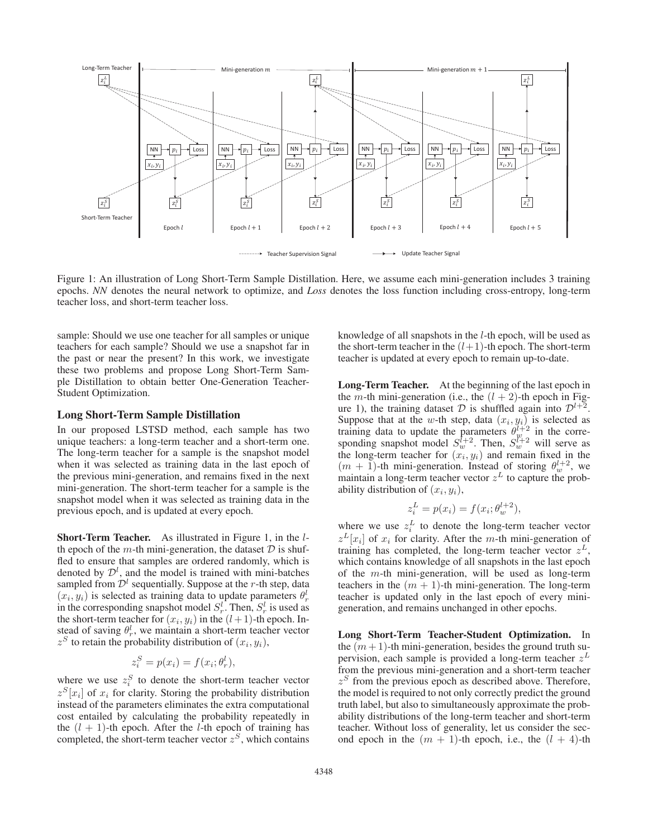

Figure 1: An illustration of Long Short-Term Sample Distillation. Here, we assume each mini-generation includes 3 training epochs. *NN* denotes the neural network to optimize, and *Loss* denotes the loss function including cross-entropy, long-term teacher loss, and short-term teacher loss.

sample: Should we use one teacher for all samples or unique teachers for each sample? Should we use a snapshot far in the past or near the present? In this work, we investigate these two problems and propose Long Short-Term Sample Distillation to obtain better One-Generation Teacher-Student Optimization.

#### Long Short-Term Sample Distillation

In our proposed LSTSD method, each sample has two unique teachers: a long-term teacher and a short-term one. The long-term teacher for a sample is the snapshot model when it was selected as training data in the last epoch of the previous mini-generation, and remains fixed in the next mini-generation. The short-term teacher for a sample is the snapshot model when it was selected as training data in the previous epoch, and is updated at every epoch.

Short-Term Teacher. As illustrated in Figure 1, in the lth epoch of the m-th mini-generation, the dataset  $D$  is shuffled to ensure that samples are ordered randomly, which is denoted by  $\mathcal{D}^l$ , and the model is trained with mini-batches sampled from  $\mathcal{D}^l$  sequentially. Suppose at the r-th step, data  $(x_i, y_i)$  is selected as training data to update parameters  $\theta_r^l$ in the corresponding snapshot model  $S_r^l$ . Then,  $S_r^l$  is used as the short-term teacher for  $(x_i, y_i)$  in the  $(l+1)$ -th epoch. Instead of saving  $\theta_r^l$ , we maintain a short-term teacher vector  $z^{S}$  to retain the probability distribution of  $(x_i, y_i)$ ,

$$
z_i^S = p(x_i) = f(x_i; \theta_r^l),
$$

where we use  $z_i^S$  to denote the short-term teacher vector  $z^{S}[x_i]$  of  $x_i$  for clarity. Storing the probability distribution instead of the parameters eliminates the extra computational cost entailed by calculating the probability repeatedly in the  $(l + 1)$ -th epoch. After the *l*-th epoch of training has completed, the short-term teacher vector  $z<sup>S</sup>$ , which contains knowledge of all snapshots in the l-th epoch, will be used as the short-term teacher in the  $(l+1)$ -th epoch. The short-term teacher is updated at every epoch to remain up-to-date.

Long-Term Teacher. At the beginning of the last epoch in the *m*-th mini-generation (i.e., the  $(l + 2)$ -th epoch in Figure 1), the training dataset  $D$  is shuffled again into  $D^{l+2}$ . Suppose that at the w-th step, data  $(x_i, y_i)$  is selected as training data to update the parameters  $\theta_{w}^{l+2}$  in the corresponding snapshot model  $S_w^{\bar{l}+2}$ . Then,  $S_w^{\bar{l}+2}$  will serve as the long-term teacher for  $(x_i, y_i)$  and remain fixed in the  $(m + 1)$ -th mini-generation. Instead of storing  $\theta_w^{l+2}$ , we maintain a long-term teacher vector  $z^L$  to capture the probability distribution of  $(x_i, y_i)$ ,

$$
z_i^L = p(x_i) = f(x_i; \theta_w^{l+2}),
$$

where we use  $z_i^L$  to denote the long-term teacher vector  $z^{L}[x_i]$  of  $x_i$  for clarity. After the m-th mini-generation of training has completed, the long-term teacher vector  $z<sup>L</sup>$ , which contains knowledge of all snapshots in the last epoch of the  $m$ -th mini-generation, will be used as long-term teachers in the  $(m + 1)$ -th mini-generation. The long-term teacher is updated only in the last epoch of every minigeneration, and remains unchanged in other epochs.

Long Short-Term Teacher-Student Optimization. In the  $(m + 1)$ -th mini-generation, besides the ground truth supervision, each sample is provided a long-term teacher  $z^L$ from the previous mini-generation and a short-term teacher  $z<sup>S</sup>$  from the previous epoch as described above. Therefore, the model is required to not only correctly predict the ground truth label, but also to simultaneously approximate the probability distributions of the long-term teacher and short-term teacher. Without loss of generality, let us consider the second epoch in the  $(m + 1)$ -th epoch, i.e., the  $(l + 4)$ -th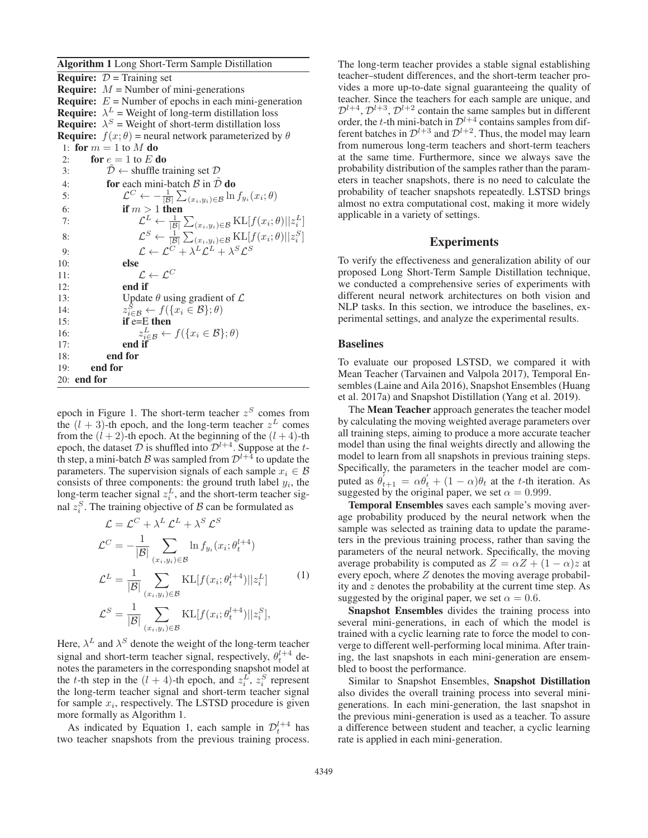Algorithm 1 Long Short-Term Sample Distillation **Require:**  $D =$  Training set **Require:**  $M =$  Number of mini-generations **Require:**  $E =$  Number of epochs in each mini-generation **Require:**  $\lambda^L$  = Weight of long-term distillation loss **Require:**  $\lambda^S$  = Weight of short-term distillation loss **Require:**  $f(x; \theta)$  = neural network parameterized by  $\theta$ 1: for  $m = 1$  to M do 2: for  $e = 1$  to E do 3:  $\mathcal{D} \leftarrow$  shuffle training set  $\mathcal{D}$ 4: for each mini-batch  $\beta$  in  $\tilde{\mathcal{D}}$  do 5:  $\mathcal{L}^C \leftarrow -\frac{1}{|\mathcal{B}|} \sum_{(x_i,y_i)\in\mathcal{B}} \ln f_{y_i}(x_i;\theta)$ 6: if  $m > 1$  then 7:  $\mathcal{L}^L \leftarrow \frac{1}{|\mathcal{B}|} \sum_{(x_i, y_i) \in \mathcal{B}} \text{KL}[f(x_i; \theta)||z_i^L]$ 8:  $\mathcal{L}^{S} \leftarrow \frac{1}{|\mathcal{B}|} \sum_{(x_i, y_i) \in \mathcal{B}} \text{KL}[f(x_i; \theta)||z_i^{S}]$ 9:  $\mathcal{L} \leftarrow \mathcal{L}^C + \lambda^L \mathcal{L}^L + \lambda^S \mathcal{L}^S$ 10: else 11:  $\mathcal{L} \leftarrow \mathcal{L}^C$ 12: end if 13: Update  $\theta$  using gradient of  $\mathcal{L}$ 14:  $z_{i \in \mathcal{B}}^S \leftarrow f(\{x_i \in \mathcal{B}\}; \theta)$ <br>
15: **if e=E then** 16:  $z_{i\in\mathcal{B}}^L \leftarrow f(\lbrace x_i \in \mathcal{B} \rbrace; \theta)$ <br>17: **end if** 18: end for 19: end for 20: end for

epoch in Figure 1. The short-term teacher  $z<sup>S</sup>$  comes from the  $(l + 3)$ -th epoch, and the long-term teacher  $z<sup>L</sup>$  comes from the  $(l + 2)$ -th epoch. At the beginning of the  $(l + 4)$ -th epoch, the dataset  $\mathcal{D}$  is shuffled into  $\mathcal{D}^{l+4}$ . Suppose at the tth step, a mini-batch B was sampled from  $\mathcal{D}^{l+4}$  to update the parameters. The supervision signals of each sample  $x_i \in \mathcal{B}$ consists of three components: the ground truth label  $y_i$ , the long-term teacher signal  $z_i^L$ , and the short-term teacher signal  $z_i^S$ . The training objective of  $\beta$  can be formulated as

$$
\mathcal{L} = \mathcal{L}^C + \lambda^L \mathcal{L}^L + \lambda^S \mathcal{L}^S
$$
  
\n
$$
\mathcal{L}^C = -\frac{1}{|\mathcal{B}|} \sum_{(x_i, y_i) \in \mathcal{B}} \ln f_{y_i}(x_i; \theta_t^{l+4})
$$
  
\n
$$
\mathcal{L}^L = \frac{1}{|\mathcal{B}|} \sum_{(x_i, y_i) \in \mathcal{B}} \text{KL}[f(x_i; \theta_t^{l+4}) || z_i^L]
$$
  
\n
$$
\mathcal{L}^S = \frac{1}{|\mathcal{B}|} \sum_{(x_i, y_i) \in \mathcal{B}} \text{KL}[f(x_i; \theta_t^{l+4}) || z_i^S],
$$
 (1)

Here,  $\lambda^L$  and  $\lambda^S$  denote the weight of the long-term teacher signal and short-term teacher signal, respectively,  $\theta_t^{l+4}$  denotes the parameters in the corresponding snapshot model at the t-th step in the  $(l + 4)$ -th epoch, and  $z_i^L$ ,  $z_i^S$  represent the long-term teacher signal and short-term teacher signal for sample  $x_i$ , respectively. The LSTSD procedure is given more formally as Algorithm 1.

As indicated by Equation 1, each sample in  $\mathcal{D}_t^{l+4}$  has two teacher snapshots from the previous training process. The long-term teacher provides a stable signal establishing teacher–student differences, and the short-term teacher provides a more up-to-date signal guaranteeing the quality of teacher. Since the teachers for each sample are unique, and  $\mathcal{D}^{l+4}, \mathcal{D}^{l+3}, \mathcal{D}^{l+2}$  contain the same samples but in different order, the t-th mini-batch in  $\mathcal{D}^{l+4}$  contains samples from different batches in  $\mathcal{D}^{l+3}$  and  $\mathcal{D}^{l+2}$ . Thus, the model may learn from numerous long-term teachers and short-term teachers at the same time. Furthermore, since we always save the probability distribution of the samples rather than the parameters in teacher snapshots, there is no need to calculate the probability of teacher snapshots repeatedly. LSTSD brings almost no extra computational cost, making it more widely applicable in a variety of settings.

## Experiments

To verify the effectiveness and generalization ability of our proposed Long Short-Term Sample Distillation technique, we conducted a comprehensive series of experiments with different neural network architectures on both vision and NLP tasks. In this section, we introduce the baselines, experimental settings, and analyze the experimental results.

### Baselines

To evaluate our proposed LSTSD, we compared it with Mean Teacher (Tarvainen and Valpola 2017), Temporal Ensembles (Laine and Aila 2016), Snapshot Ensembles (Huang et al. 2017a) and Snapshot Distillation (Yang et al. 2019).

The Mean Teacher approach generates the teacher model by calculating the moving weighted average parameters over all training steps, aiming to produce a more accurate teacher model than using the final weights directly and allowing the model to learn from all snapshots in previous training steps. Specifically, the parameters in the teacher model are computed as  $\theta'_{t+1} = \alpha \theta'_t + (1 - \alpha)\theta_t$  at the t-th iteration. As suggested by the original paper, we set  $\alpha = 0.999$ .

Temporal Ensembles saves each sample's moving average probability produced by the neural network when the sample was selected as training data to update the parameters in the previous training process, rather than saving the parameters of the neural network. Specifically, the moving average probability is computed as  $Z = \alpha Z + (1 - \alpha)z$  at every epoch, where  $Z$  denotes the moving average probability and  $z$  denotes the probability at the current time step. As suggested by the original paper, we set  $\alpha = 0.6$ .

Snapshot Ensembles divides the training process into several mini-generations, in each of which the model is trained with a cyclic learning rate to force the model to converge to different well-performing local minima. After training, the last snapshots in each mini-generation are ensembled to boost the performance.

Similar to Snapshot Ensembles, Snapshot Distillation also divides the overall training process into several minigenerations. In each mini-generation, the last snapshot in the previous mini-generation is used as a teacher. To assure a difference between student and teacher, a cyclic learning rate is applied in each mini-generation.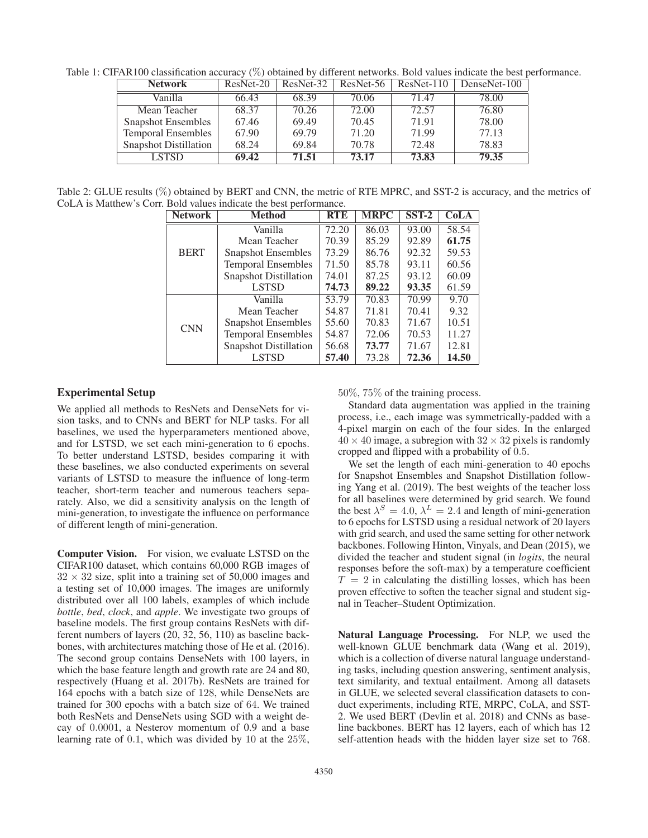Table 1: CIFAR100 classification accuracy (%) obtained by different networks. Bold values indicate the best performance.

| <b>Network</b>               | ResNet-20 | ResNet-32 |       | $ResNet-56$ ResNet-110 | DenseNet-100 |
|------------------------------|-----------|-----------|-------|------------------------|--------------|
| Vanilla                      | 66.43     | 68.39     | 70.06 | 71.47                  | 78.00        |
| Mean Teacher                 | 68.37     | 70.26     | 72.00 | 72.57                  | 76.80        |
| <b>Snapshot Ensembles</b>    | 67.46     | 69.49     | 70.45 | 71.91                  | 78.00        |
| <b>Temporal Ensembles</b>    | 67.90     | 69.79     | 71.20 | 71.99                  | 77.13        |
| <b>Snapshot Distillation</b> | 68.24     | 69.84     | 70.78 | 72.48                  | 78.83        |
| <b>LSTSD</b>                 | 69.42     | 71.51     | 73.17 | 73.83                  | 79.35        |

Table 2: GLUE results (%) obtained by BERT and CNN, the metric of RTE MPRC, and SST-2 is accuracy, and the metrics of CoLA is Matthew's Corr. Bold values indicate the best performance.

| <b>Network</b> | <b>Method</b>                | <b>RTE</b> | <b>MRPC</b> | $SST-2$ | <b>CoLA</b> |
|----------------|------------------------------|------------|-------------|---------|-------------|
| <b>BERT</b>    | Vanilla                      | 72.20      | 86.03       | 93.00   | 58.54       |
|                | Mean Teacher                 | 70.39      | 85.29       | 92.89   | 61.75       |
|                | <b>Snapshot Ensembles</b>    | 73.29      | 86.76       | 92.32   | 59.53       |
|                | <b>Temporal Ensembles</b>    | 71.50      | 85.78       | 93.11   | 60.56       |
|                | <b>Snapshot Distillation</b> | 74.01      | 87.25       | 93.12   | 60.09       |
|                | <b>LSTSD</b>                 | 74.73      | 89.22       | 93.35   | 61.59       |
| <b>CNN</b>     | Vanilla                      | 53.79      | 70.83       | 70.99   | 9.70        |
|                | Mean Teacher                 | 54.87      | 71.81       | 70.41   | 9.32        |
|                | <b>Snapshot Ensembles</b>    | 55.60      | 70.83       | 71.67   | 10.51       |
|                | <b>Temporal Ensembles</b>    | 54.87      | 72.06       | 70.53   | 11.27       |
|                | <b>Snapshot Distillation</b> | 56.68      | 73.77       | 71.67   | 12.81       |
|                | <b>LSTSD</b>                 | 57.40      | 73.28       | 72.36   | 14.50       |

# Experimental Setup

We applied all methods to ResNets and DenseNets for vision tasks, and to CNNs and BERT for NLP tasks. For all baselines, we used the hyperparameters mentioned above, and for LSTSD, we set each mini-generation to 6 epochs. To better understand LSTSD, besides comparing it with these baselines, we also conducted experiments on several variants of LSTSD to measure the influence of long-term teacher, short-term teacher and numerous teachers separately. Also, we did a sensitivity analysis on the length of mini-generation, to investigate the influence on performance of different length of mini-generation.

Computer Vision. For vision, we evaluate LSTSD on the CIFAR100 dataset, which contains 60,000 RGB images of  $32 \times 32$  size, split into a training set of 50,000 images and a testing set of 10,000 images. The images are uniformly distributed over all 100 labels, examples of which include *bottle*, *bed*, *clock*, and *apple*. We investigate two groups of baseline models. The first group contains ResNets with different numbers of layers (20, 32, 56, 110) as baseline backbones, with architectures matching those of He et al. (2016). The second group contains DenseNets with 100 layers, in which the base feature length and growth rate are 24 and 80, respectively (Huang et al. 2017b). ResNets are trained for 164 epochs with a batch size of 128, while DenseNets are trained for 300 epochs with a batch size of 64. We trained both ResNets and DenseNets using SGD with a weight decay of 0.0001, a Nesterov momentum of 0.9 and a base learning rate of 0.1, which was divided by 10 at the 25%,

50%, 75% of the training process.

Standard data augmentation was applied in the training process, i.e., each image was symmetrically-padded with a 4-pixel margin on each of the four sides. In the enlarged  $40 \times 40$  image, a subregion with  $32 \times 32$  pixels is randomly cropped and flipped with a probability of 0.5.

We set the length of each mini-generation to 40 epochs for Snapshot Ensembles and Snapshot Distillation following Yang et al. (2019). The best weights of the teacher loss for all baselines were determined by grid search. We found the best  $\lambda^S = 4.0$ ,  $\lambda^L = 2.4$  and length of mini-generation to 6 epochs for LSTSD using a residual network of 20 layers with grid search, and used the same setting for other network backbones. Following Hinton, Vinyals, and Dean (2015), we divided the teacher and student signal (in *logits*, the neural responses before the soft-max) by a temperature coefficient  $T = 2$  in calculating the distilling losses, which has been proven effective to soften the teacher signal and student signal in Teacher–Student Optimization.

Natural Language Processing. For NLP, we used the well-known GLUE benchmark data (Wang et al. 2019), which is a collection of diverse natural language understanding tasks, including question answering, sentiment analysis, text similarity, and textual entailment. Among all datasets in GLUE, we selected several classification datasets to conduct experiments, including RTE, MRPC, CoLA, and SST-2. We used BERT (Devlin et al. 2018) and CNNs as baseline backbones. BERT has 12 layers, each of which has 12 self-attention heads with the hidden layer size set to 768.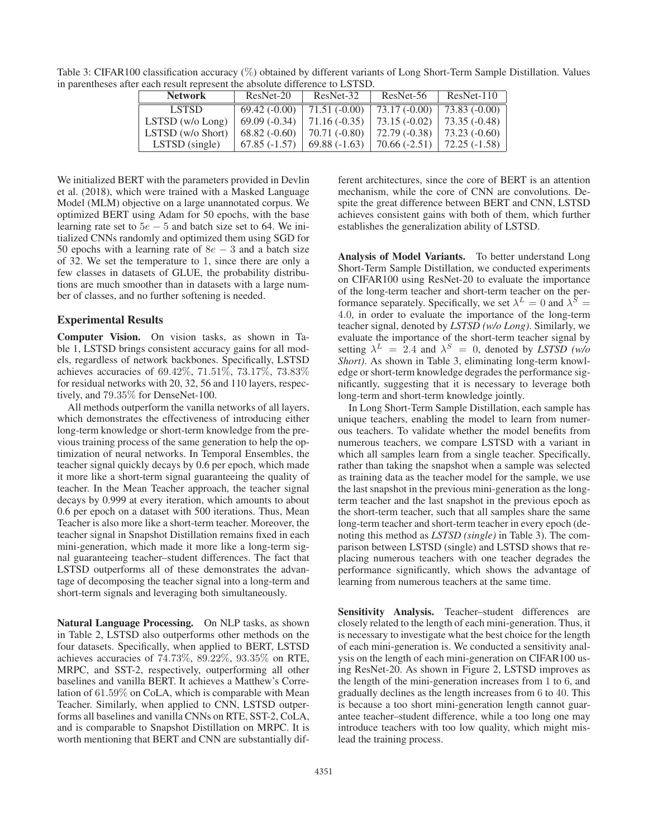| <b>Network</b>        | $ResNet-20$    | ResNet-32      | ResNet-56      | $ResNet-110$   |
|-----------------------|----------------|----------------|----------------|----------------|
| LSTSD.                | $69.42(-0.00)$ | $71.51(-0.00)$ | $73.17(-0.00)$ | $73.83(-0.00)$ |
| $LSTSD$ (w/o $Long$ ) | $69.09(-0.34)$ | $71.16(-0.35)$ | $73.15(-0.02)$ | 73.35 (-0.48)  |
| LSTSD (w/o Short)     | $68.82(-0.60)$ | $70.71(-0.80)$ | $72.79(-0.38)$ | 73.23 (-0.60)  |
| LSTSD (single)        | $67.85(-1.57)$ | $69.88(-1.63)$ | $70.66(-2.51)$ | $72.25(-1.58)$ |

Table 3: CIFAR100 classification accuracy (%) obtained by different variants of Long Short-Term Sample Distillation. Values in parentheses after each result represent the absolute difference to LSTSD.

We initialized BERT with the parameters provided in Devlin et al. (2018), which were trained with a Masked Language Model (MLM) objective on a large unannotated corpus. We optimized BERT using Adam for 50 epochs, with the base learning rate set to  $5e - 5$  and batch size set to 64. We initialized CNNs randomly and optimized them using SGD for 50 epochs with a learning rate of  $8e - 3$  and a batch size of 32. We set the temperature to 1, since there are only a few classes in datasets of GLUE, the probability distributions are much smoother than in datasets with a large number of classes, and no further softening is needed.

### Experimental Results

Computer Vision. On vision tasks, as shown in Table 1, LSTSD brings consistent accuracy gains for all models, regardless of network backbones. Specifically, LSTSD achieves accuracies of 69.42%, 71.51%, 73.17%, 73.83% for residual networks with 20, 32, 56 and 110 layers, respectively, and 79.35% for DenseNet-100.

All methods outperform the vanilla networks of all layers, which demonstrates the effectiveness of introducing either long-term knowledge or short-term knowledge from the previous training process of the same generation to help the optimization of neural networks. In Temporal Ensembles, the teacher signal quickly decays by 0.6 per epoch, which made it more like a short-term signal guaranteeing the quality of teacher. In the Mean Teacher approach, the teacher signal decays by 0.999 at every iteration, which amounts to about 0.6 per epoch on a dataset with 500 iterations. Thus, Mean Teacher is also more like a short-term teacher. Moreover, the teacher signal in Snapshot Distillation remains fixed in each mini-generation, which made it more like a long-term signal guaranteeing teacher–student differences. The fact that LSTSD outperforms all of these demonstrates the advantage of decomposing the teacher signal into a long-term and short-term signals and leveraging both simultaneously.

Natural Language Processing. On NLP tasks, as shown in Table 2, LSTSD also outperforms other methods on the four datasets. Specifically, when applied to BERT, LSTSD achieves accuracies of 74.73%, 89.22%, 93.35% on RTE, MRPC, and SST-2, respectively, outperforming all other baselines and vanilla BERT. It achieves a Matthew's Correlation of 61.59% on CoLA, which is comparable with Mean Teacher. Similarly, when applied to CNN, LSTSD outperforms all baselines and vanilla CNNs on RTE, SST-2, CoLA, and is comparable to Snapshot Distillation on MRPC. It is worth mentioning that BERT and CNN are substantially different architectures, since the core of BERT is an attention mechanism, while the core of CNN are convolutions. Despite the great difference between BERT and CNN, LSTSD achieves consistent gains with both of them, which further establishes the generalization ability of LSTSD.

Analysis of Model Variants. To better understand Long Short-Term Sample Distillation, we conducted experiments on CIFAR100 using ResNet-20 to evaluate the importance of the long-term teacher and short-term teacher on the performance separately. Specifically, we set  $\lambda^L = 0$  and  $\lambda^S =$ 4.0, in order to evaluate the importance of the long-term teacher signal, denoted by *LSTSD (w/o Long)*. Similarly, we evaluate the importance of the short-term teacher signal by setting  $\lambda^L = 2.4$  and  $\lambda^S = 0$ , denoted by *LSTSD* (w/o *Short)*. As shown in Table 3, eliminating long-term knowledge or short-term knowledge degrades the performance significantly, suggesting that it is necessary to leverage both long-term and short-term knowledge jointly.

In Long Short-Term Sample Distillation, each sample has unique teachers, enabling the model to learn from numerous teachers. To validate whether the model benefits from numerous teachers, we compare LSTSD with a variant in which all samples learn from a single teacher. Specifically, rather than taking the snapshot when a sample was selected as training data as the teacher model for the sample, we use the last snapshot in the previous mini-generation as the longterm teacher and the last snapshot in the previous epoch as the short-term teacher, such that all samples share the same long-term teacher and short-term teacher in every epoch (denoting this method as *LSTSD (single)* in Table 3). The comparison between LSTSD (single) and LSTSD shows that replacing numerous teachers with one teacher degrades the performance significantly, which shows the advantage of learning from numerous teachers at the same time.

Sensitivity Analysis. Teacher–student differences are closely related to the length of each mini-generation. Thus, it is necessary to investigate what the best choice for the length of each mini-generation is. We conducted a sensitivity analysis on the length of each mini-generation on CIFAR100 using ResNet-20. As shown in Figure 2, LSTSD improves as the length of the mini-generation increases from 1 to 6, and gradually declines as the length increases from 6 to 40. This is because a too short mini-generation length cannot guarantee teacher–student difference, while a too long one may introduce teachers with too low quality, which might mislead the training process.